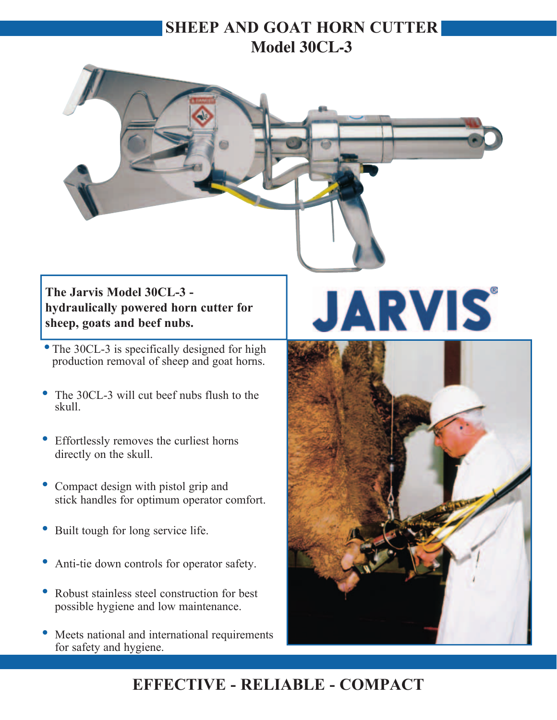### **SHEEP AND GOAT HORN CUTTER Model 30CL-3**



#### **The Jarvis Model 30CL-3 hydraulically powered horn cutter for sheep, goats and beef nubs.**

- The 30CL-3 is specifically designed for high production removal of sheep and goat horns.
- The 30CL-3 will cut beef nubs flush to the skull.
- Effortlessly removes the curliest horns directly on the skull.
- Compact design with pistol grip and stick handles for optimum operator comfort.
- Built tough for long service life.
- Anti-tie down controls for operator safety.
- Robust stainless steel construction for best possible hygiene and low maintenance.
- Meets national and international requirements for safety and hygiene.

# **JARVIS**



## **EFFECTIVE - RELIABLE - COMPACT**